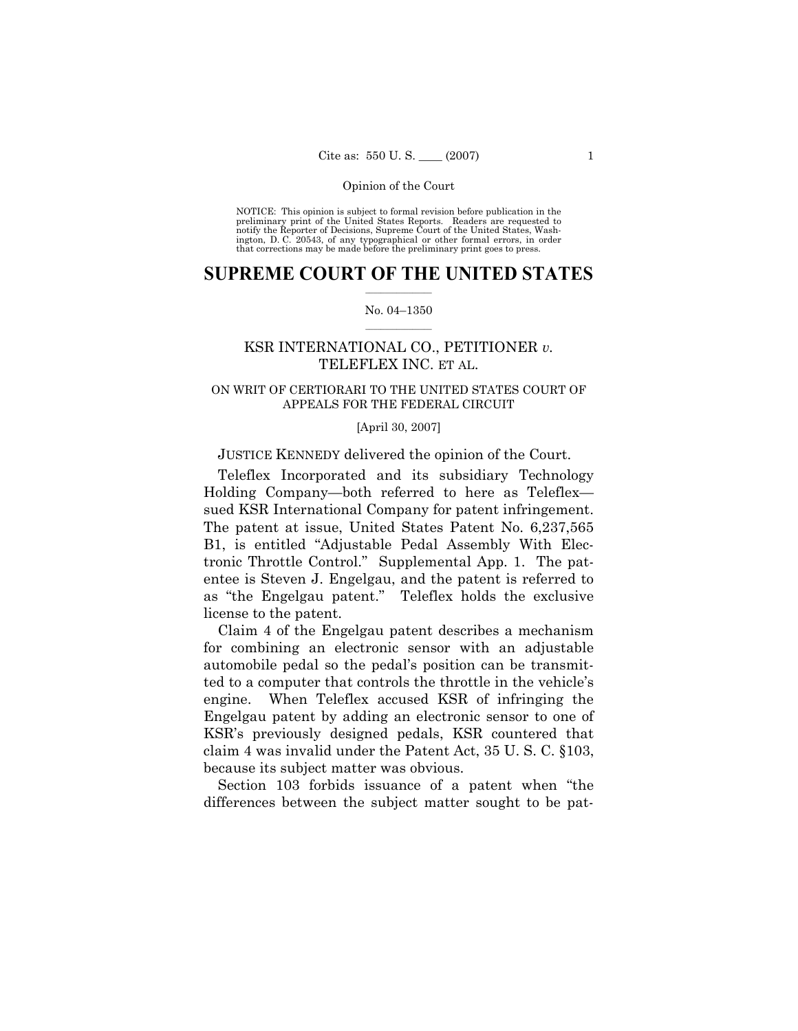NOTICE: This opinion is subject to formal revision before publication in the preliminary print of the United States Reports. Readers are requested to notify the Reporter of Decisions, Supreme Court of the United States, Washington, D. C. 20543, of any typographical or other formal errors, in order that corrections may be made before the preliminary print goes to press.

## **SUPREME COURT OF THE UNITED STATES**  $\frac{1}{2}$  ,  $\frac{1}{2}$  ,  $\frac{1}{2}$  ,  $\frac{1}{2}$  ,  $\frac{1}{2}$  ,  $\frac{1}{2}$  ,  $\frac{1}{2}$

#### No. 04-1350  $\mathcal{L}=\mathcal{L}$

# KSR INTERNATIONAL CO., PETITIONER *v.*  TELEFLEX INC. ET AL.

# ON WRIT OF CERTIORARI TO THE UNITED STATES COURT OF APPEALS FOR THE FEDERAL CIRCUIT

#### [April 30, 2007]

### JUSTICE KENNEDY delivered the opinion of the Court.

 Teleflex Incorporated and its subsidiary Technology Holding Company—both referred to here as Teleflex sued KSR International Company for patent infringement. The patent at issue, United States Patent No. 6,237,565 B1, is entitled "Adjustable Pedal Assembly With Electronic Throttle Control." Supplemental App. 1. The patentee is Steven J. Engelgau, and the patent is referred to as "the Engelgau patent." Teleflex holds the exclusive license to the patent.

 Claim 4 of the Engelgau patent describes a mechanism for combining an electronic sensor with an adjustable automobile pedal so the pedal's position can be transmitted to a computer that controls the throttle in the vehicle's engine. When Teleflex accused KSR of infringing the Engelgau patent by adding an electronic sensor to one of KSRís previously designed pedals, KSR countered that claim 4 was invalid under the Patent Act, 35 U. S. C. ß103, because its subject matter was obvious.

Section 103 forbids issuance of a patent when "the differences between the subject matter sought to be pat-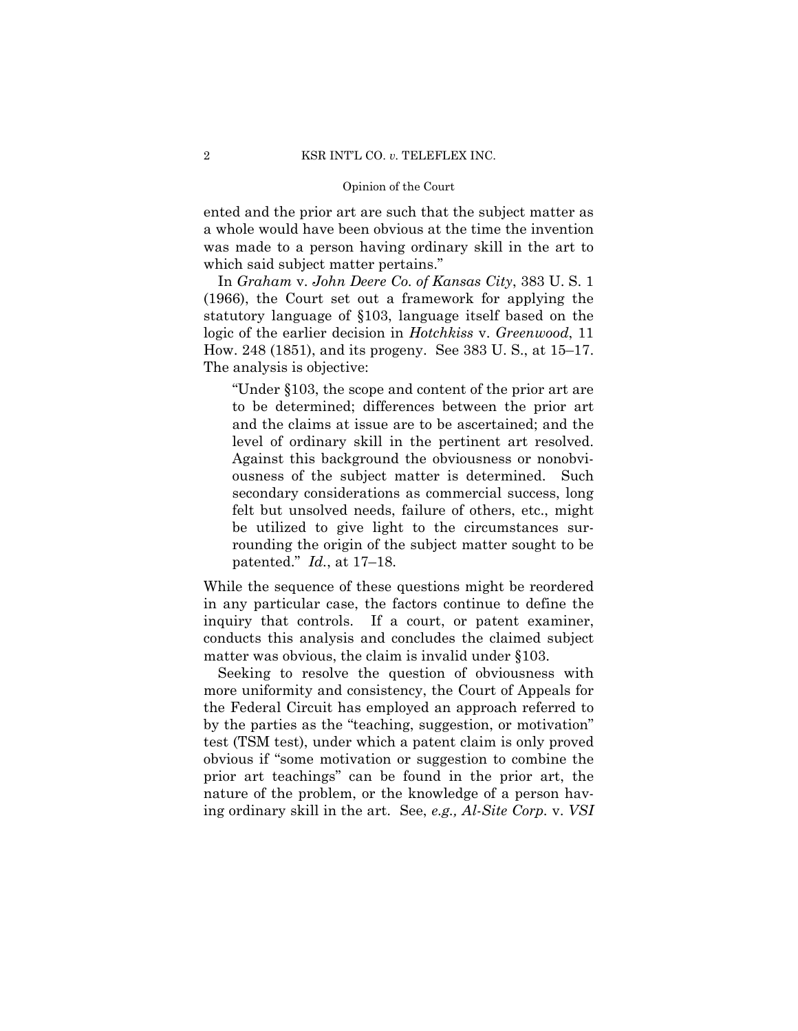ented and the prior art are such that the subject matter as a whole would have been obvious at the time the invention was made to a person having ordinary skill in the art to which said subject matter pertains."

 In *Graham* v. *John Deere Co. of Kansas City*, 383 U. S. 1 (1966), the Court set out a framework for applying the statutory language of ß103, language itself based on the logic of the earlier decision in *Hotchkiss* v. *Greenwood*, 11 How. 248 (1851), and its progeny. See 383 U.S., at  $15-17$ . The analysis is objective:

"Under  $§103$ , the scope and content of the prior art are to be determined; differences between the prior art and the claims at issue are to be ascertained; and the level of ordinary skill in the pertinent art resolved. Against this background the obviousness or nonobviousness of the subject matter is determined. Such secondary considerations as commercial success, long felt but unsolved needs, failure of others, etc., might be utilized to give light to the circumstances surrounding the origin of the subject matter sought to be patented." *Id.*, at 17–18.

While the sequence of these questions might be reordered in any particular case, the factors continue to define the inquiry that controls. If a court, or patent examiner, conducts this analysis and concludes the claimed subject matter was obvious, the claim is invalid under  $§103$ .

 Seeking to resolve the question of obviousness with more uniformity and consistency, the Court of Appeals for the Federal Circuit has employed an approach referred to by the parties as the "teaching, suggestion, or motivation" test (TSM test), under which a patent claim is only proved obvious if "some motivation or suggestion to combine the prior art teachingsî can be found in the prior art, the nature of the problem, or the knowledge of a person having ordinary skill in the art. See, *e.g., Al-Site Corp.* v. *VSI*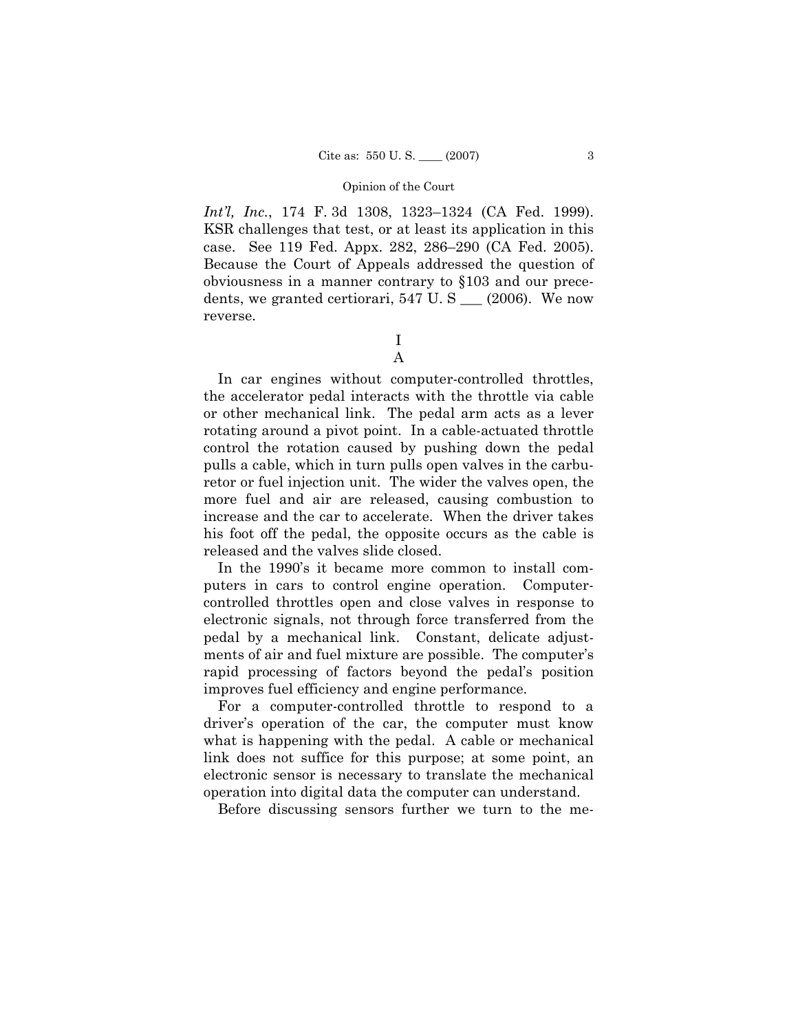*Int'l, Inc.*, 174 F. 3d 1308, 1323-1324 (CA Fed. 1999). KSR challenges that test, or at least its application in this case. See 119 Fed. Appx. 282, 286–290 (CA Fed. 2005). Because the Court of Appeals addressed the question of obviousness in a manner contrary to ß103 and our precedents, we granted certiorari,  $547 \text{ U.S}$  (2006). We now reverse.

> I A

 In car engines without computer-controlled throttles, the accelerator pedal interacts with the throttle via cable or other mechanical link. The pedal arm acts as a lever rotating around a pivot point. In a cable-actuated throttle control the rotation caused by pushing down the pedal pulls a cable, which in turn pulls open valves in the carburetor or fuel injection unit. The wider the valves open, the more fuel and air are released, causing combustion to increase and the car to accelerate. When the driver takes his foot off the pedal, the opposite occurs as the cable is released and the valves slide closed.

In the 1990's it became more common to install computers in cars to control engine operation. Computercontrolled throttles open and close valves in response to electronic signals, not through force transferred from the pedal by a mechanical link. Constant, delicate adjustments of air and fuel mixture are possible. The computer's rapid processing of factors beyond the pedal's position improves fuel efficiency and engine performance.

 For a computer-controlled throttle to respond to a driver's operation of the car, the computer must know what is happening with the pedal. A cable or mechanical link does not suffice for this purpose; at some point, an electronic sensor is necessary to translate the mechanical operation into digital data the computer can understand.

Before discussing sensors further we turn to the me-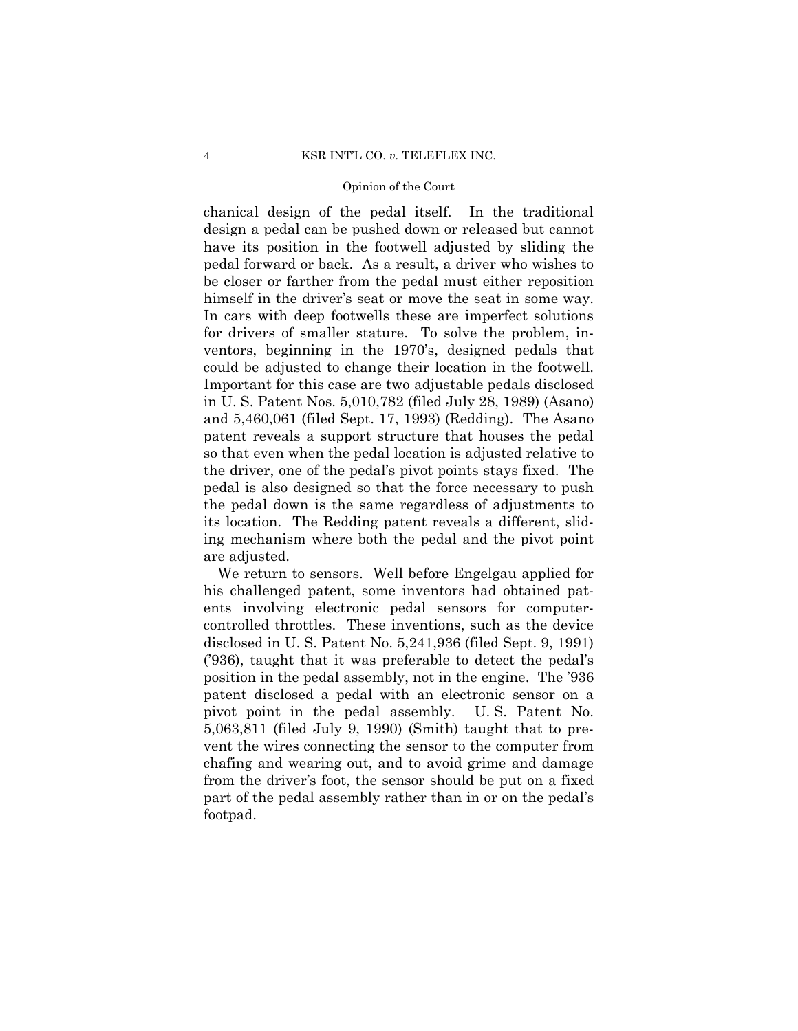chanical design of the pedal itself. In the traditional design a pedal can be pushed down or released but cannot have its position in the footwell adjusted by sliding the pedal forward or back. As a result, a driver who wishes to be closer or farther from the pedal must either reposition himself in the driver's seat or move the seat in some way. In cars with deep footwells these are imperfect solutions for drivers of smaller stature. To solve the problem, inventors, beginning in the 1970ís, designed pedals that could be adjusted to change their location in the footwell. Important for this case are two adjustable pedals disclosed in U. S. Patent Nos. 5,010,782 (filed July 28, 1989) (Asano) and 5,460,061 (filed Sept. 17, 1993) (Redding). The Asano patent reveals a support structure that houses the pedal so that even when the pedal location is adjusted relative to the driver, one of the pedalís pivot points stays fixed. The pedal is also designed so that the force necessary to push the pedal down is the same regardless of adjustments to its location. The Redding patent reveals a different, sliding mechanism where both the pedal and the pivot point are adjusted.

 We return to sensors. Well before Engelgau applied for his challenged patent, some inventors had obtained patents involving electronic pedal sensors for computercontrolled throttles. These inventions, such as the device disclosed in U. S. Patent No. 5,241,936 (filed Sept. 9, 1991)  $(936)$ , taught that it was preferable to detect the pedal's position in the pedal assembly, not in the engine. The '936 patent disclosed a pedal with an electronic sensor on a pivot point in the pedal assembly. U. S. Patent No. 5,063,811 (filed July 9, 1990) (Smith) taught that to prevent the wires connecting the sensor to the computer from chafing and wearing out, and to avoid grime and damage from the driver's foot, the sensor should be put on a fixed part of the pedal assembly rather than in or on the pedal's footpad.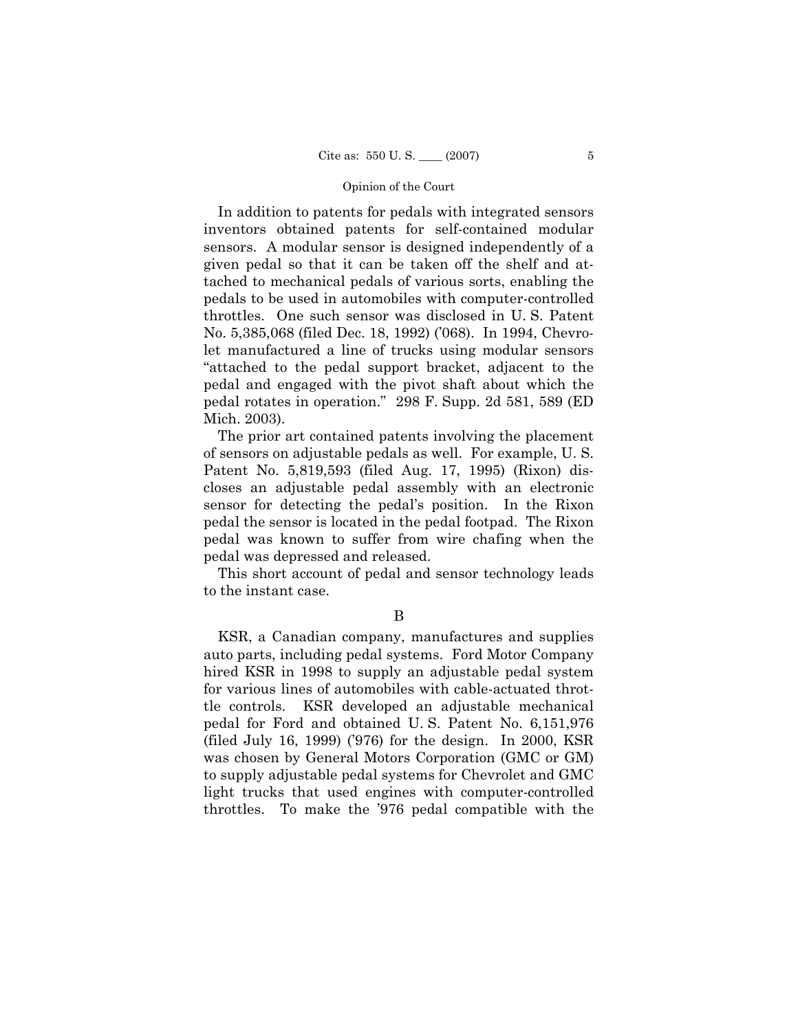In addition to patents for pedals with integrated sensors inventors obtained patents for self-contained modular sensors. A modular sensor is designed independently of a given pedal so that it can be taken off the shelf and attached to mechanical pedals of various sorts, enabling the pedals to be used in automobiles with computer-controlled throttles. One such sensor was disclosed in U. S. Patent No. 5,385,068 (filed Dec. 18, 1992) ('068). In 1994, Chevrolet manufactured a line of trucks using modular sensors ìattached to the pedal support bracket, adjacent to the pedal and engaged with the pivot shaft about which the pedal rotates in operation.î 298 F. Supp. 2d 581, 589 (ED Mich. 2003).

 The prior art contained patents involving the placement of sensors on adjustable pedals as well. For example, U. S. Patent No. 5,819,593 (filed Aug. 17, 1995) (Rixon) discloses an adjustable pedal assembly with an electronic sensor for detecting the pedalís position. In the Rixon pedal the sensor is located in the pedal footpad. The Rixon pedal was known to suffer from wire chafing when the pedal was depressed and released.

 This short account of pedal and sensor technology leads to the instant case.

B

 KSR, a Canadian company, manufactures and supplies auto parts, including pedal systems. Ford Motor Company hired KSR in 1998 to supply an adjustable pedal system for various lines of automobiles with cable-actuated throttle controls. KSR developed an adjustable mechanical pedal for Ford and obtained U. S. Patent No. 6,151,976 (filed July 16, 1999) ( $\overline{976}$ ) for the design. In 2000, KSR was chosen by General Motors Corporation (GMC or GM) to supply adjustable pedal systems for Chevrolet and GMC light trucks that used engines with computer-controlled throttles. To make the í976 pedal compatible with the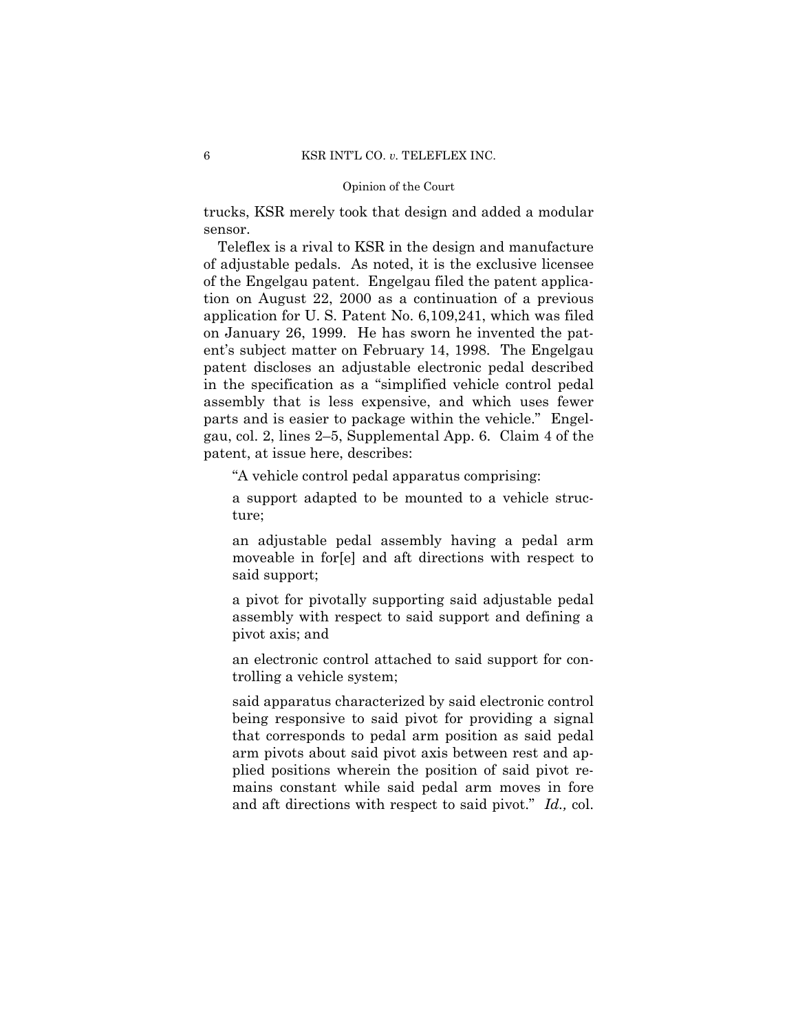trucks, KSR merely took that design and added a modular sensor.

 Teleflex is a rival to KSR in the design and manufacture of adjustable pedals. As noted, it is the exclusive licensee of the Engelgau patent. Engelgau filed the patent application on August 22, 2000 as a continuation of a previous application for U. S. Patent No. 6,109,241, which was filed on January 26, 1999. He has sworn he invented the patent's subject matter on February 14, 1998. The Engelgau patent discloses an adjustable electronic pedal described in the specification as a "simplified vehicle control pedal assembly that is less expensive, and which uses fewer parts and is easier to package within the vehicle." Engelgau, col. 2, lines  $2-5$ , Supplemental App. 6. Claim 4 of the patent, at issue here, describes:

ìA vehicle control pedal apparatus comprising:

a support adapted to be mounted to a vehicle structure;

an adjustable pedal assembly having a pedal arm moveable in for[e] and aft directions with respect to said support;

a pivot for pivotally supporting said adjustable pedal assembly with respect to said support and defining a pivot axis; and

an electronic control attached to said support for controlling a vehicle system;

said apparatus characterized by said electronic control being responsive to said pivot for providing a signal that corresponds to pedal arm position as said pedal arm pivots about said pivot axis between rest and applied positions wherein the position of said pivot remains constant while said pedal arm moves in fore and aft directions with respect to said pivot.<sup>*n*</sup> *Id.*, col.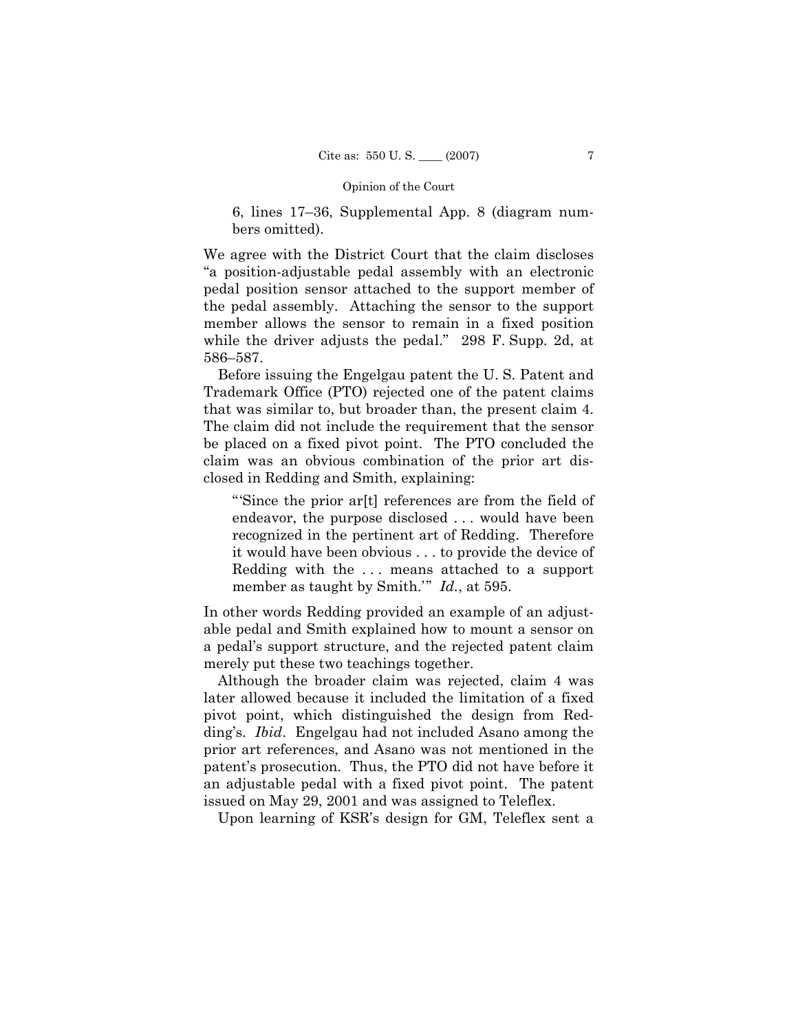6, lines  $17-36$ , Supplemental App. 8 (diagram numbers omitted).

We agree with the District Court that the claim discloses ìa position-adjustable pedal assembly with an electronic pedal position sensor attached to the support member of the pedal assembly. Attaching the sensor to the support member allows the sensor to remain in a fixed position while the driver adjusts the pedal." 298 F. Supp. 2d, at 586-587.

 Before issuing the Engelgau patent the U. S. Patent and Trademark Office (PTO) rejected one of the patent claims that was similar to, but broader than, the present claim 4. The claim did not include the requirement that the sensor be placed on a fixed pivot point. The PTO concluded the claim was an obvious combination of the prior art disclosed in Redding and Smith, explaining:

"Since the prior ar[t] references are from the field of endeavor, the purpose disclosed . . . would have been recognized in the pertinent art of Redding. Therefore it would have been obvious . . . to provide the device of Redding with the . . . means attached to a support member as taught by Smith.<sup>17</sup> *Id.*, at 595.

In other words Redding provided an example of an adjustable pedal and Smith explained how to mount a sensor on a pedalís support structure, and the rejected patent claim merely put these two teachings together.

 Although the broader claim was rejected, claim 4 was later allowed because it included the limitation of a fixed pivot point, which distinguished the design from Redding's. *Ibid*. Engelgau had not included Asano among the prior art references, and Asano was not mentioned in the patentís prosecution. Thus, the PTO did not have before it an adjustable pedal with a fixed pivot point. The patent issued on May 29, 2001 and was assigned to Teleflex.

Upon learning of KSRís design for GM, Teleflex sent a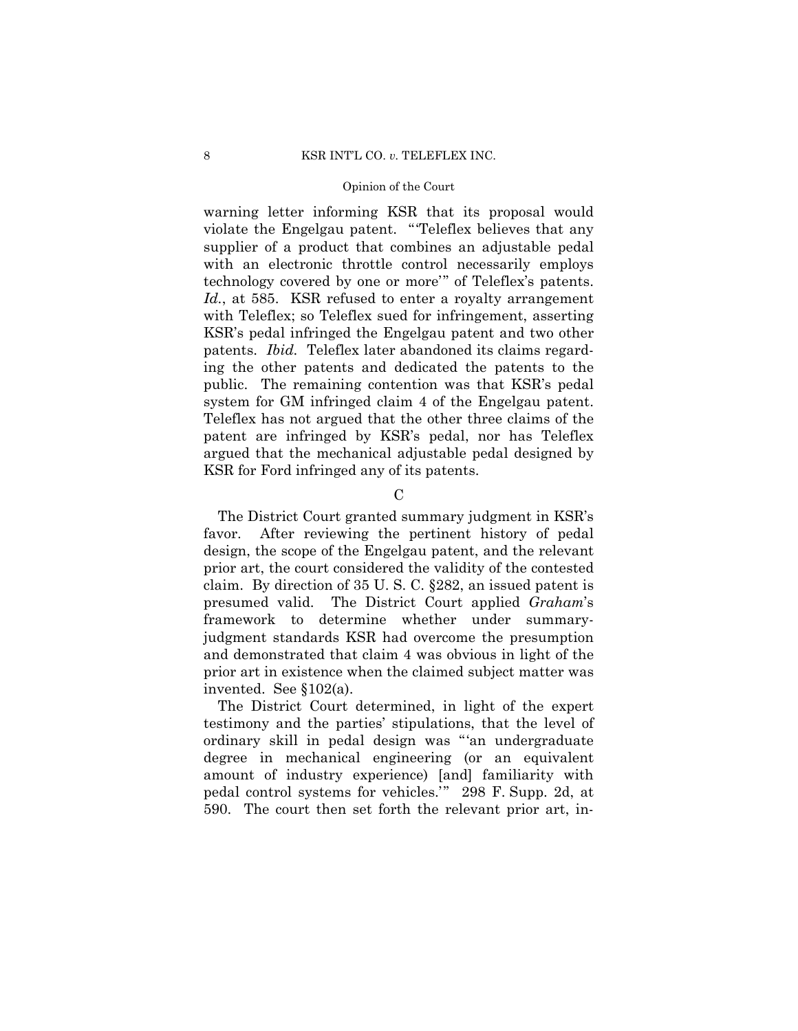warning letter informing KSR that its proposal would violate the Engelgau patent. "Teleflex believes that any supplier of a product that combines an adjustable pedal with an electronic throttle control necessarily employs technology covered by one or more" of Teleflex's patents. Id., at 585. KSR refused to enter a royalty arrangement with Teleflex; so Teleflex sued for infringement, asserting KSRís pedal infringed the Engelgau patent and two other patents. *Ibid.* Teleflex later abandoned its claims regarding the other patents and dedicated the patents to the public. The remaining contention was that KSR's pedal system for GM infringed claim 4 of the Engelgau patent. Teleflex has not argued that the other three claims of the patent are infringed by KSR's pedal, nor has Teleflex argued that the mechanical adjustable pedal designed by KSR for Ford infringed any of its patents.

 $\mathcal{C}$ 

The District Court granted summary judgment in KSR's favor. After reviewing the pertinent history of pedal design, the scope of the Engelgau patent, and the relevant prior art, the court considered the validity of the contested claim. By direction of 35 U. S. C. ß282, an issued patent is presumed valid. The District Court applied *Graham*ís framework to determine whether under summaryjudgment standards KSR had overcome the presumption and demonstrated that claim 4 was obvious in light of the prior art in existence when the claimed subject matter was invented. See ß102(a).

 The District Court determined, in light of the expert testimony and the parties' stipulations, that the level of ordinary skill in pedal design was "'an undergraduate degree in mechanical engineering (or an equivalent amount of industry experience) [and] familiarity with pedal control systems for vehicles.<sup>18</sup> 298 F. Supp. 2d, at 590. The court then set forth the relevant prior art, in-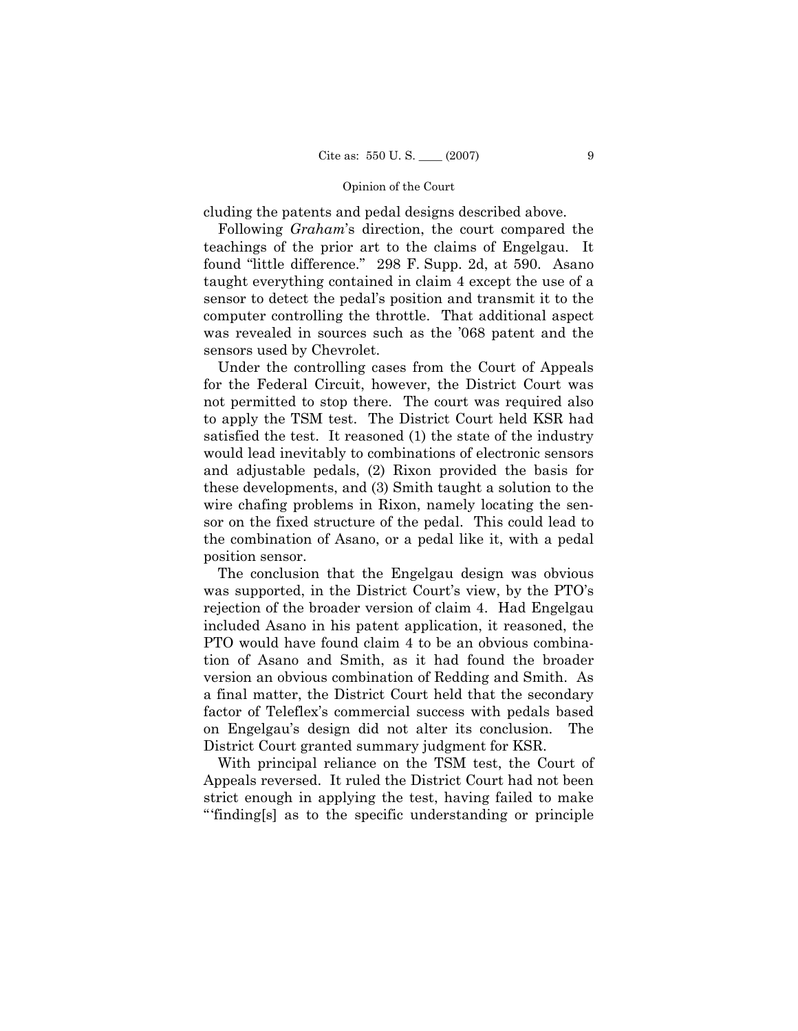cluding the patents and pedal designs described above.

 Following *Graham*ís direction, the court compared the teachings of the prior art to the claims of Engelgau. It found "little difference." 298 F. Supp. 2d, at 590. Asano taught everything contained in claim 4 except the use of a sensor to detect the pedalís position and transmit it to the computer controlling the throttle. That additional aspect was revealed in sources such as the  $068$  patent and the sensors used by Chevrolet.

 Under the controlling cases from the Court of Appeals for the Federal Circuit, however, the District Court was not permitted to stop there. The court was required also to apply the TSM test. The District Court held KSR had satisfied the test. It reasoned (1) the state of the industry would lead inevitably to combinations of electronic sensors and adjustable pedals, (2) Rixon provided the basis for these developments, and (3) Smith taught a solution to the wire chafing problems in Rixon, namely locating the sensor on the fixed structure of the pedal. This could lead to the combination of Asano, or a pedal like it, with a pedal position sensor.

 The conclusion that the Engelgau design was obvious was supported, in the District Court's view, by the PTO's rejection of the broader version of claim 4. Had Engelgau included Asano in his patent application, it reasoned, the PTO would have found claim 4 to be an obvious combination of Asano and Smith, as it had found the broader version an obvious combination of Redding and Smith. As a final matter, the District Court held that the secondary factor of Teleflexís commercial success with pedals based on Engelgauís design did not alter its conclusion. The District Court granted summary judgment for KSR.

 With principal reliance on the TSM test, the Court of Appeals reversed. It ruled the District Court had not been strict enough in applying the test, having failed to make ìëfinding[s] as to the specific understanding or principle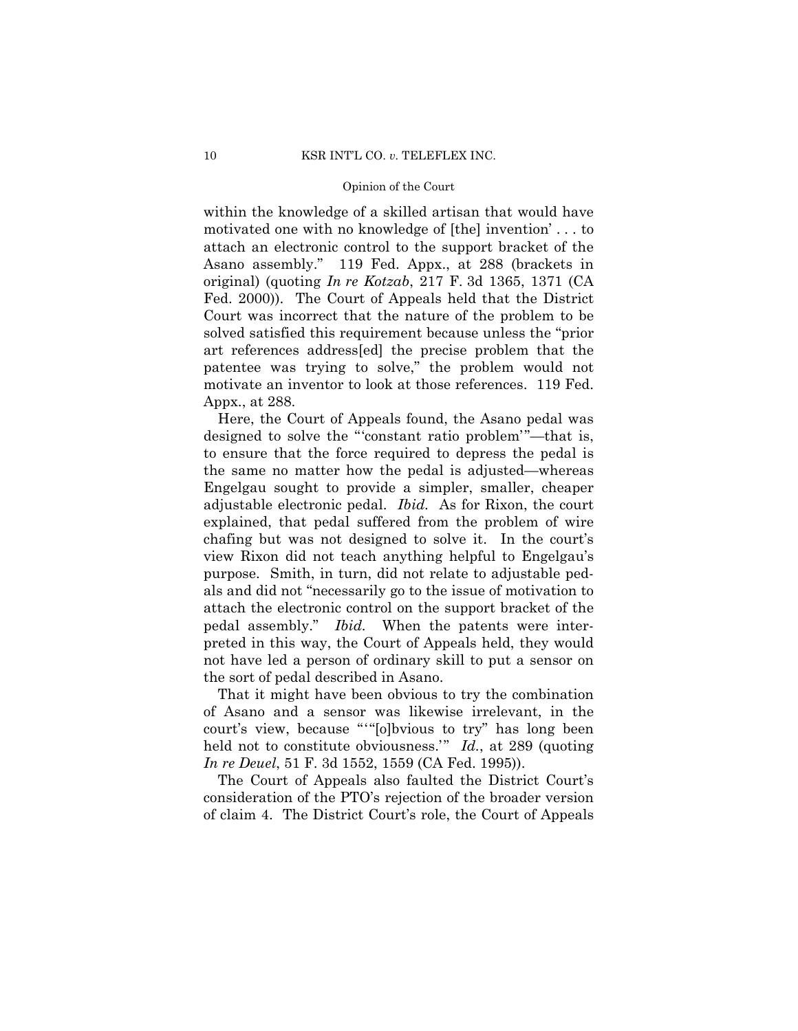within the knowledge of a skilled artisan that would have motivated one with no knowledge of  $[the]$  invention'... to attach an electronic control to the support bracket of the Asano assembly.î 119 Fed. Appx., at 288 (brackets in original) (quoting *In re Kotzab*, 217 F. 3d 1365, 1371 (CA Fed. 2000)). The Court of Appeals held that the District Court was incorrect that the nature of the problem to be solved satisfied this requirement because unless the "prior" art references address[ed] the precise problem that the patentee was trying to solve," the problem would not motivate an inventor to look at those references. 119 Fed. Appx., at 288.

 Here, the Court of Appeals found, the Asano pedal was designed to solve the "'constant ratio problem'"—that is, to ensure that the force required to depress the pedal is the same no matter how the pedal is adjusted—whereas Engelgau sought to provide a simpler, smaller, cheaper adjustable electronic pedal. *Ibid.* As for Rixon, the court explained, that pedal suffered from the problem of wire chafing but was not designed to solve it. In the court's view Rixon did not teach anything helpful to Engelgauís purpose. Smith, in turn, did not relate to adjustable pedals and did not "necessarily go to the issue of motivation to attach the electronic control on the support bracket of the pedal assembly.î *Ibid.* When the patents were interpreted in this way, the Court of Appeals held, they would not have led a person of ordinary skill to put a sensor on the sort of pedal described in Asano.

 That it might have been obvious to try the combination of Asano and a sensor was likewise irrelevant, in the court's view, because ""[o]bvious to try" has long been held not to constitute obviousness.<sup>"</sup> *Id.*, at 289 (quoting *In re Deuel*, 51 F. 3d 1552, 1559 (CA Fed. 1995)).

The Court of Appeals also faulted the District Court's consideration of the PTO's rejection of the broader version of claim 4. The District Court's role, the Court of Appeals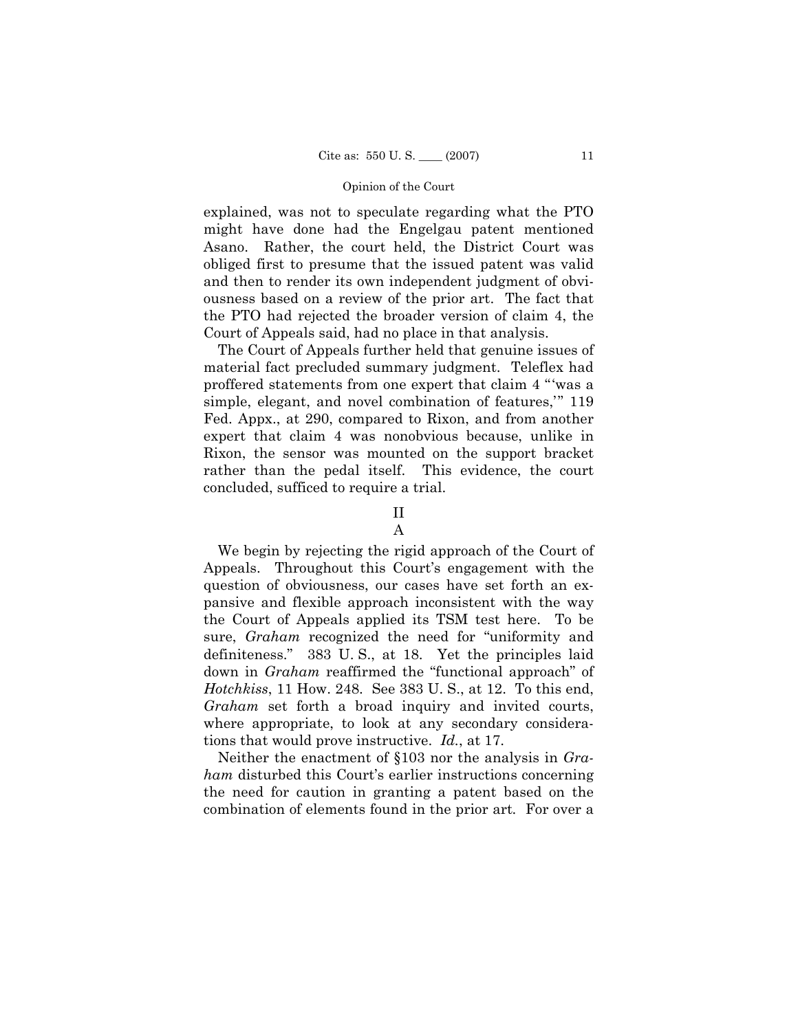explained, was not to speculate regarding what the PTO might have done had the Engelgau patent mentioned Asano. Rather, the court held, the District Court was obliged first to presume that the issued patent was valid and then to render its own independent judgment of obviousness based on a review of the prior art. The fact that the PTO had rejected the broader version of claim 4, the Court of Appeals said, had no place in that analysis.

 The Court of Appeals further held that genuine issues of material fact precluded summary judgment. Teleflex had proffered statements from one expert that claim 4 "'was a simple, elegant, and novel combination of features," 119 Fed. Appx., at 290, compared to Rixon, and from another expert that claim 4 was nonobvious because, unlike in Rixon, the sensor was mounted on the support bracket rather than the pedal itself. This evidence, the court concluded, sufficed to require a trial.

# II

A

 We begin by rejecting the rigid approach of the Court of Appeals. Throughout this Court's engagement with the question of obviousness, our cases have set forth an expansive and flexible approach inconsistent with the way the Court of Appeals applied its TSM test here. To be sure, *Graham* recognized the need for "uniformity and definiteness." 383 U.S., at 18. Yet the principles laid down in *Graham* reaffirmed the "functional approach" of *Hotchkiss*, 11 How. 248. See 383 U. S., at 12. To this end, *Graham* set forth a broad inquiry and invited courts, where appropriate, to look at any secondary considerations that would prove instructive. *Id.*, at 17.

 Neither the enactment of ß103 nor the analysis in *Graham* disturbed this Court's earlier instructions concerning the need for caution in granting a patent based on the combination of elements found in the prior art*.* For over a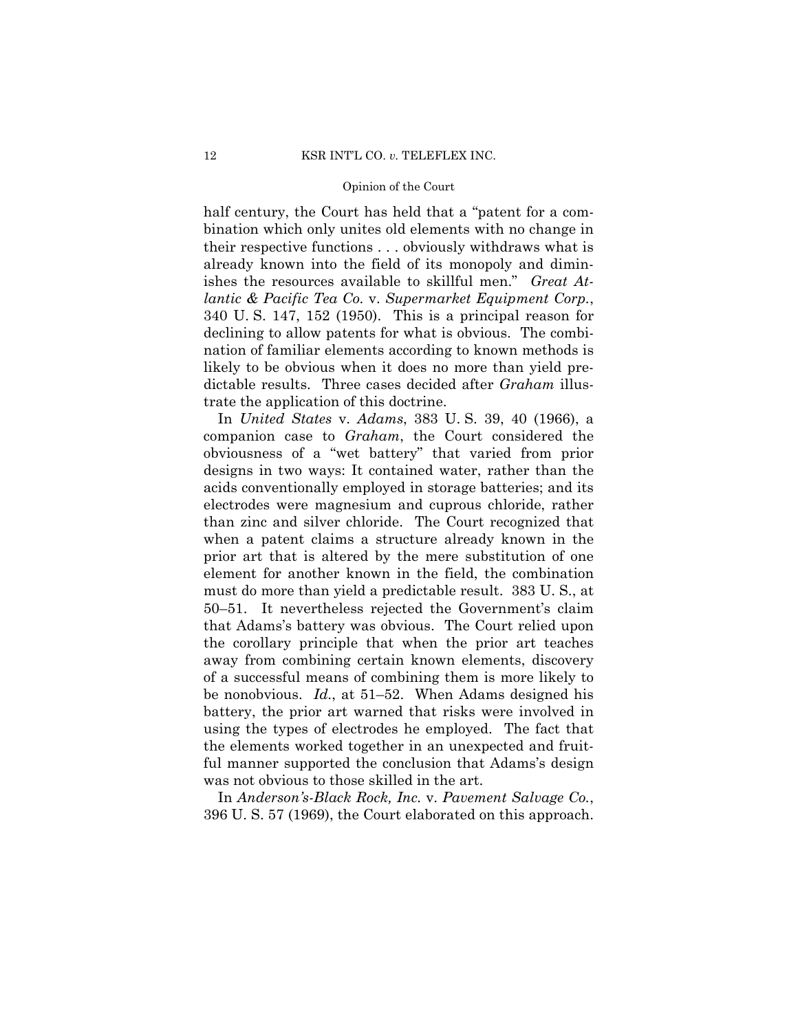half century, the Court has held that a "patent for a combination which only unites old elements with no change in their respective functions . . . obviously withdraws what is already known into the field of its monopoly and diminishes the resources available to skillful men." *Great Atlantic & Pacific Tea Co.* v. *Supermarket Equipment Corp.*, 340 U. S. 147, 152 (1950). This is a principal reason for declining to allow patents for what is obvious. The combination of familiar elements according to known methods is likely to be obvious when it does no more than yield predictable results. Three cases decided after *Graham* illustrate the application of this doctrine.

 In *United States* v. *Adams*, 383 U. S. 39, 40 (1966), a companion case to *Graham*, the Court considered the obviousness of a "wet battery" that varied from prior designs in two ways: It contained water, rather than the acids conventionally employed in storage batteries; and its electrodes were magnesium and cuprous chloride, rather than zinc and silver chloride. The Court recognized that when a patent claims a structure already known in the prior art that is altered by the mere substitution of one element for another known in the field, the combination must do more than yield a predictable result. 383 U. S., at 50–51. It nevertheless rejected the Government's claim that Adamsís battery was obvious. The Court relied upon the corollary principle that when the prior art teaches away from combining certain known elements, discovery of a successful means of combining them is more likely to be nonobvious. *Id.*, at 51–52. When Adams designed his battery, the prior art warned that risks were involved in using the types of electrodes he employed. The fact that the elements worked together in an unexpected and fruitful manner supported the conclusion that Adams's design was not obvious to those skilled in the art.

 In *Andersonís-Black Rock, Inc.* v. *Pavement Salvage Co.*, 396 U. S. 57 (1969), the Court elaborated on this approach.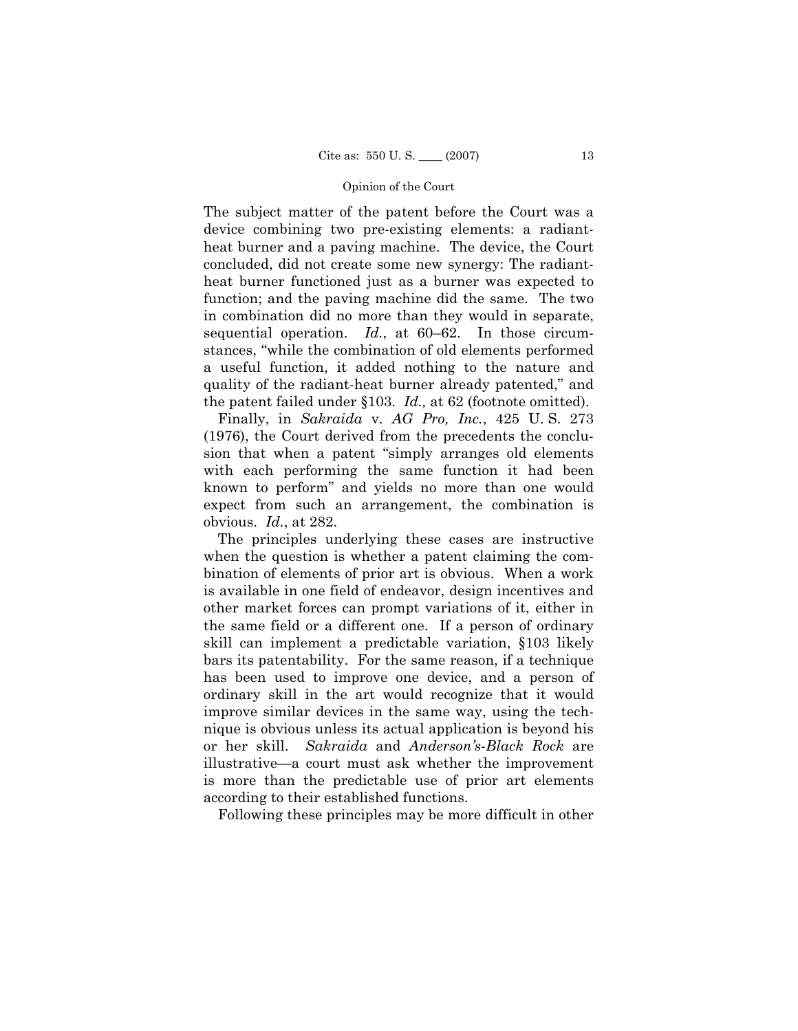The subject matter of the patent before the Court was a device combining two pre-existing elements: a radiantheat burner and a paving machine. The device, the Court concluded, did not create some new synergy: The radiantheat burner functioned just as a burner was expected to function; and the paving machine did the same. The two in combination did no more than they would in separate, sequential operation. *Id.*, at  $60-62$ . In those circumstances, "while the combination of old elements performed a useful function, it added nothing to the nature and quality of the radiant-heat burner already patented," and the patent failed under ß103. *Id.,* at 62 (footnote omitted).

 Finally, in *Sakraida* v. *AG Pro, Inc.*, 425 U. S. 273 (1976), the Court derived from the precedents the conclusion that when a patent "simply arranges old elements with each performing the same function it had been known to performî and yields no more than one would expect from such an arrangement, the combination is obvious. *Id.*, at 282.

 The principles underlying these cases are instructive when the question is whether a patent claiming the combination of elements of prior art is obvious. When a work is available in one field of endeavor, design incentives and other market forces can prompt variations of it, either in the same field or a different one. If a person of ordinary skill can implement a predictable variation, ß103 likely bars its patentability. For the same reason, if a technique has been used to improve one device, and a person of ordinary skill in the art would recognize that it would improve similar devices in the same way, using the technique is obvious unless its actual application is beyond his or her skill. *Sakraida* and *Andersonís-Black Rock* are illustrative—a court must ask whether the improvement is more than the predictable use of prior art elements according to their established functions.

Following these principles may be more difficult in other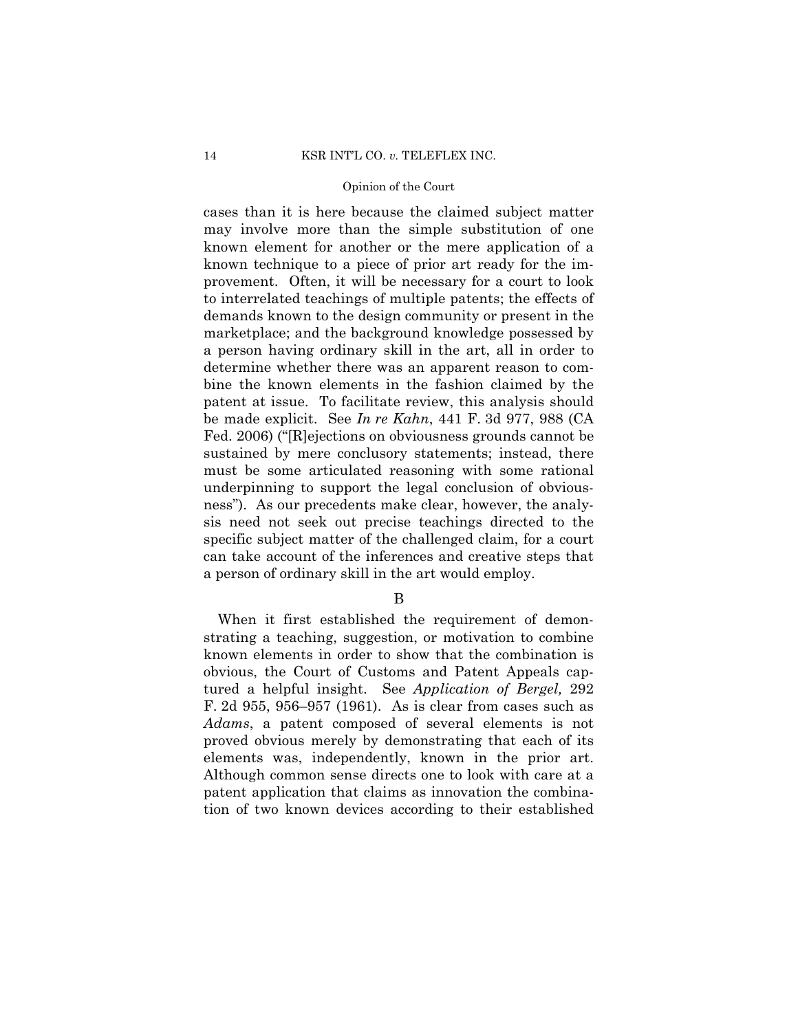cases than it is here because the claimed subject matter may involve more than the simple substitution of one known element for another or the mere application of a known technique to a piece of prior art ready for the improvement. Often, it will be necessary for a court to look to interrelated teachings of multiple patents; the effects of demands known to the design community or present in the marketplace; and the background knowledge possessed by a person having ordinary skill in the art, all in order to determine whether there was an apparent reason to combine the known elements in the fashion claimed by the patent at issue. To facilitate review, this analysis should be made explicit. See *In re Kahn*, 441 F. 3d 977, 988 (CA Fed. 2006) ("[R]ejections on obviousness grounds cannot be sustained by mere conclusory statements; instead, there must be some articulated reasoning with some rational underpinning to support the legal conclusion of obviousness"). As our precedents make clear, however, the analysis need not seek out precise teachings directed to the specific subject matter of the challenged claim, for a court can take account of the inferences and creative steps that a person of ordinary skill in the art would employ.

B

 When it first established the requirement of demonstrating a teaching, suggestion, or motivation to combine known elements in order to show that the combination is obvious, the Court of Customs and Patent Appeals captured a helpful insight. See *Application of Bergel,* 292 F. 2d 955, 956–957 (1961). As is clear from cases such as *Adams*, a patent composed of several elements is not proved obvious merely by demonstrating that each of its elements was, independently, known in the prior art. Although common sense directs one to look with care at a patent application that claims as innovation the combination of two known devices according to their established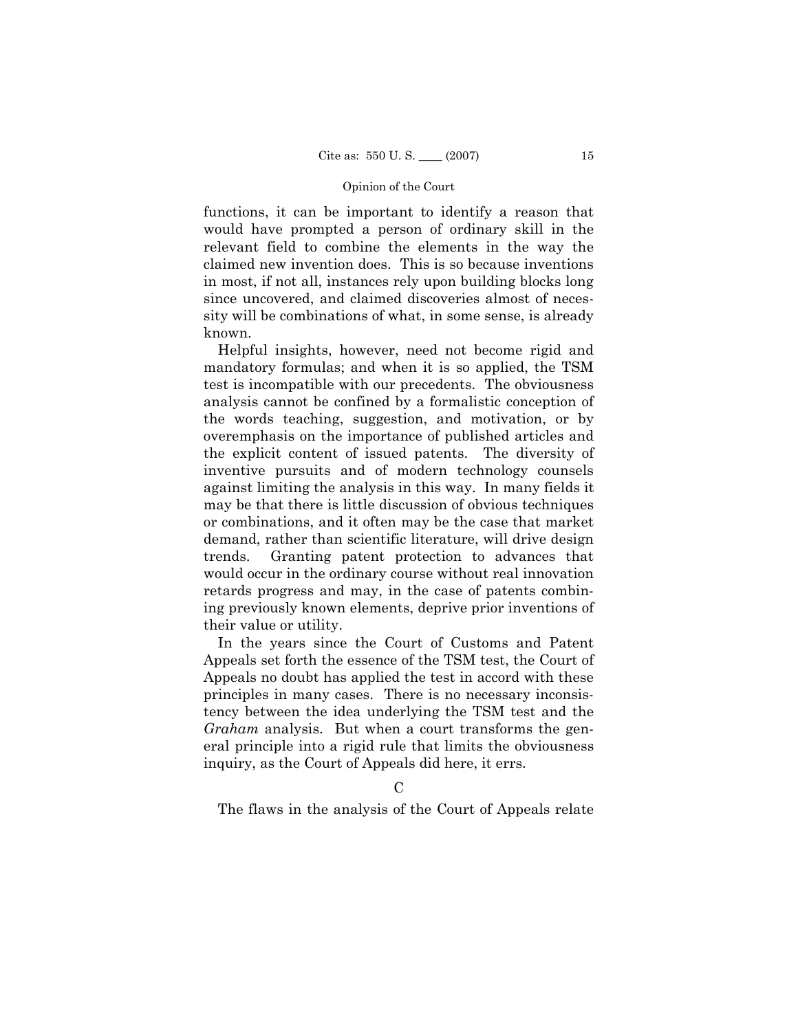functions, it can be important to identify a reason that would have prompted a person of ordinary skill in the relevant field to combine the elements in the way the claimed new invention does. This is so because inventions in most, if not all, instances rely upon building blocks long since uncovered, and claimed discoveries almost of necessity will be combinations of what, in some sense, is already known.

 Helpful insights, however, need not become rigid and mandatory formulas; and when it is so applied, the TSM test is incompatible with our precedents. The obviousness analysis cannot be confined by a formalistic conception of the words teaching, suggestion, and motivation, or by overemphasis on the importance of published articles and the explicit content of issued patents. The diversity of inventive pursuits and of modern technology counsels against limiting the analysis in this way. In many fields it may be that there is little discussion of obvious techniques or combinations, and it often may be the case that market demand, rather than scientific literature, will drive design trends. Granting patent protection to advances that would occur in the ordinary course without real innovation retards progress and may, in the case of patents combining previously known elements, deprive prior inventions of their value or utility.

 In the years since the Court of Customs and Patent Appeals set forth the essence of the TSM test, the Court of Appeals no doubt has applied the test in accord with these principles in many cases. There is no necessary inconsistency between the idea underlying the TSM test and the *Graham* analysis. But when a court transforms the general principle into a rigid rule that limits the obviousness inquiry, as the Court of Appeals did here, it errs.

The flaws in the analysis of the Court of Appeals relate

 $\Gamma$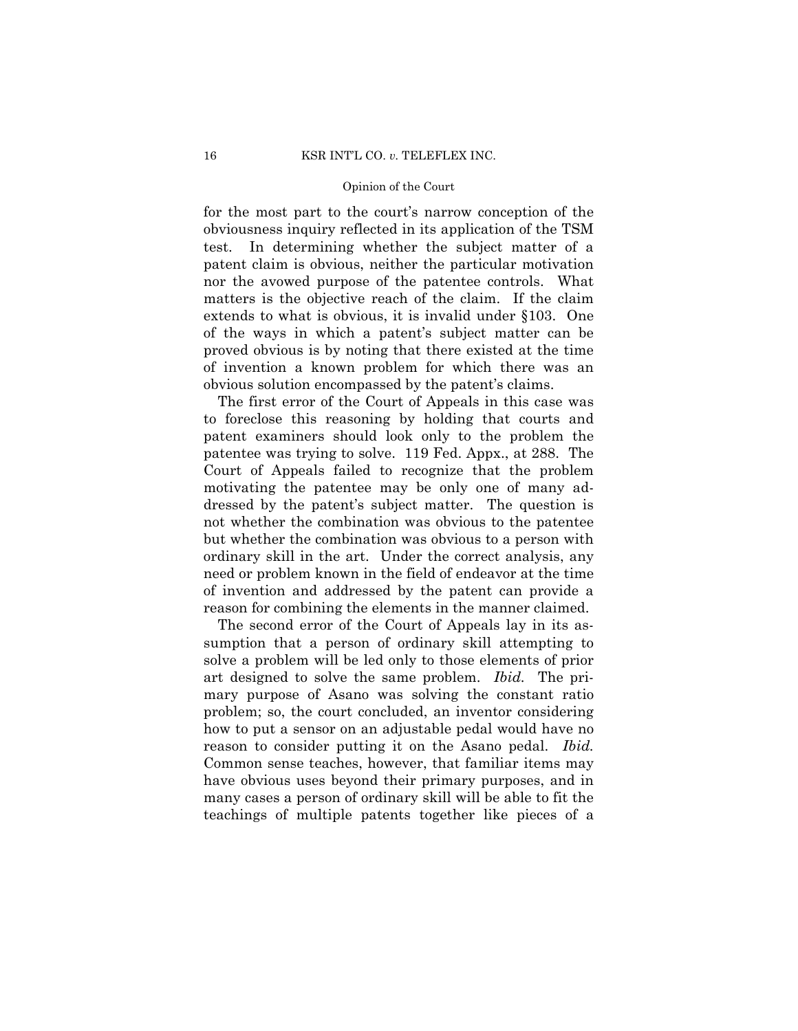for the most part to the court's narrow conception of the obviousness inquiry reflected in its application of the TSM test. In determining whether the subject matter of a patent claim is obvious, neither the particular motivation nor the avowed purpose of the patentee controls. What matters is the objective reach of the claim. If the claim extends to what is obvious, it is invalid under ß103. One of the ways in which a patentís subject matter can be proved obvious is by noting that there existed at the time of invention a known problem for which there was an obvious solution encompassed by the patent's claims.

 The first error of the Court of Appeals in this case was to foreclose this reasoning by holding that courts and patent examiners should look only to the problem the patentee was trying to solve. 119 Fed. Appx., at 288. The Court of Appeals failed to recognize that the problem motivating the patentee may be only one of many addressed by the patentís subject matter. The question is not whether the combination was obvious to the patentee but whether the combination was obvious to a person with ordinary skill in the art. Under the correct analysis, any need or problem known in the field of endeavor at the time of invention and addressed by the patent can provide a reason for combining the elements in the manner claimed.

 The second error of the Court of Appeals lay in its assumption that a person of ordinary skill attempting to solve a problem will be led only to those elements of prior art designed to solve the same problem. *Ibid.* The primary purpose of Asano was solving the constant ratio problem; so, the court concluded, an inventor considering how to put a sensor on an adjustable pedal would have no reason to consider putting it on the Asano pedal. *Ibid.* Common sense teaches, however, that familiar items may have obvious uses beyond their primary purposes, and in many cases a person of ordinary skill will be able to fit the teachings of multiple patents together like pieces of a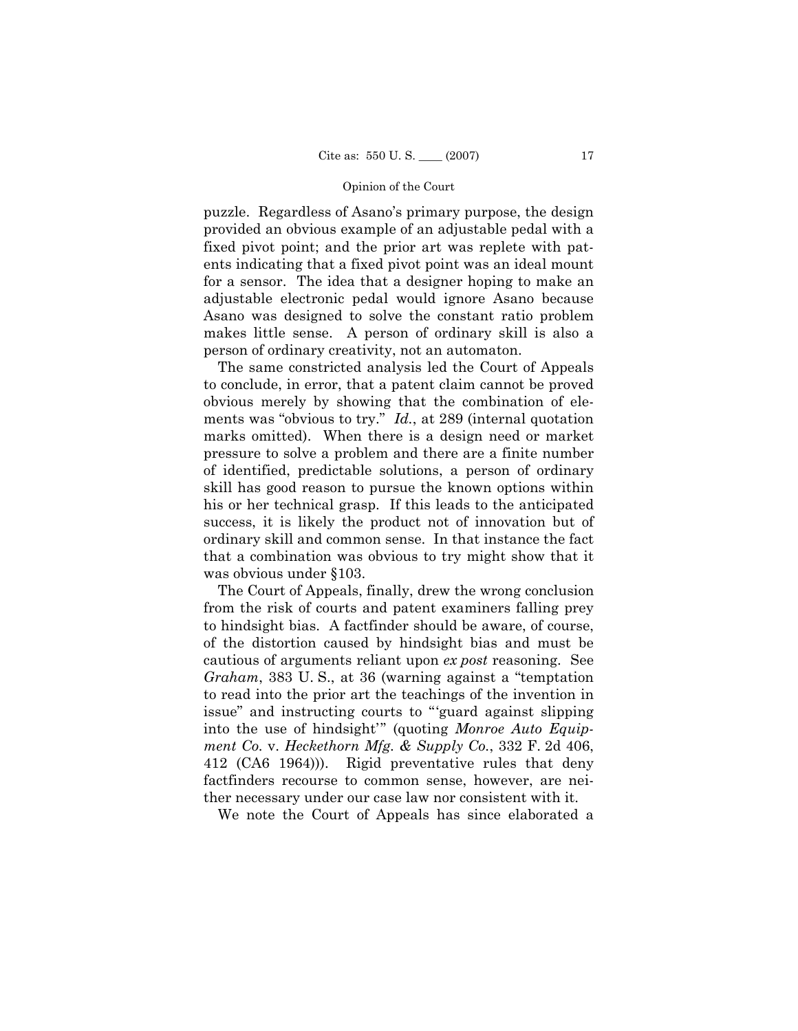puzzle. Regardless of Asano's primary purpose, the design provided an obvious example of an adjustable pedal with a fixed pivot point; and the prior art was replete with patents indicating that a fixed pivot point was an ideal mount for a sensor. The idea that a designer hoping to make an adjustable electronic pedal would ignore Asano because Asano was designed to solve the constant ratio problem makes little sense. A person of ordinary skill is also a person of ordinary creativity, not an automaton.

 The same constricted analysis led the Court of Appeals to conclude, in error, that a patent claim cannot be proved obvious merely by showing that the combination of elements was "obvious to try." *Id.*, at 289 (internal quotation marks omitted). When there is a design need or market pressure to solve a problem and there are a finite number of identified, predictable solutions, a person of ordinary skill has good reason to pursue the known options within his or her technical grasp. If this leads to the anticipated success, it is likely the product not of innovation but of ordinary skill and common sense. In that instance the fact that a combination was obvious to try might show that it was obvious under §103.

 The Court of Appeals, finally, drew the wrong conclusion from the risk of courts and patent examiners falling prey to hindsight bias. A factfinder should be aware, of course, of the distortion caused by hindsight bias and must be cautious of arguments reliant upon *ex post* reasoning. See *Graham*, 383 U.S., at 36 (warning against a "temptation" to read into the prior art the teachings of the invention in issue" and instructing courts to "guard against slipping into the use of hindsight" (quoting *Monroe Auto Equipment Co.* v. *Heckethorn Mfg. & Supply Co.*, 332 F. 2d 406, 412 (CA6 1964))). Rigid preventative rules that deny factfinders recourse to common sense, however, are neither necessary under our case law nor consistent with it.

We note the Court of Appeals has since elaborated a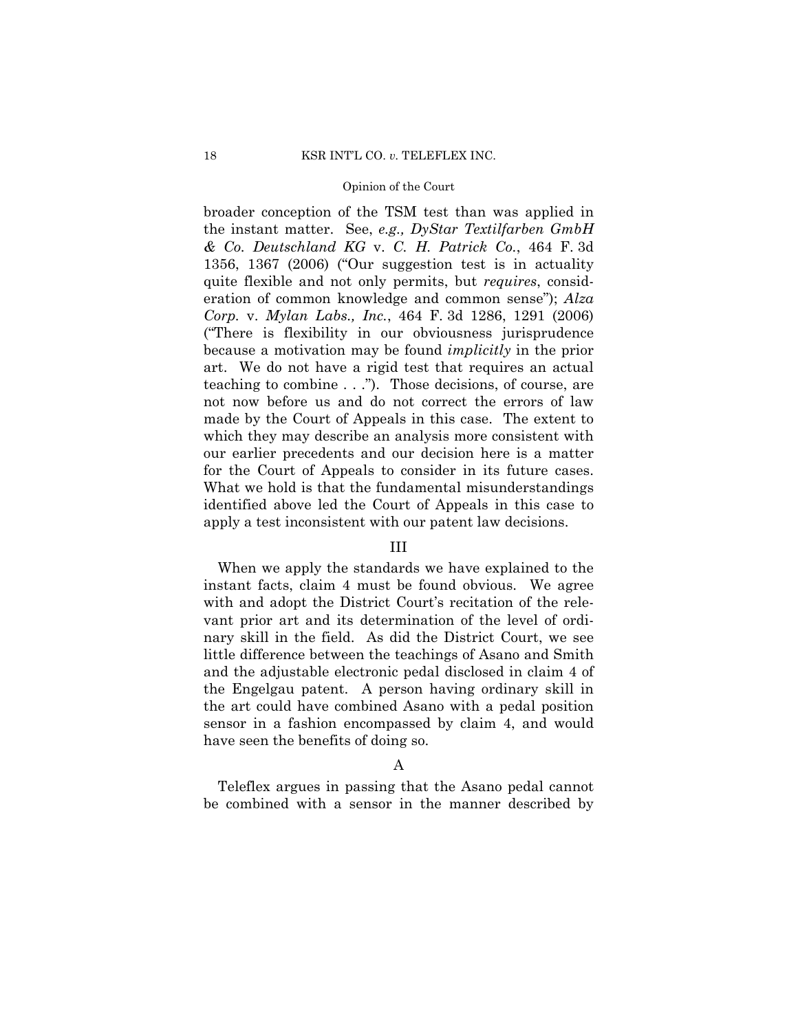broader conception of the TSM test than was applied in the instant matter. See, *e.g., DyStar Textilfarben GmbH & Co. Deutschland KG* v. *C. H. Patrick Co.*, 464 F. 3d 1356, 1367 (2006) ("Our suggestion test is in actuality quite flexible and not only permits, but *requires*, consideration of common knowledge and common sense"); *Alza Corp.* v. *Mylan Labs., Inc.*, 464 F. 3d 1286, 1291 (2006) ("There is flexibility in our obviousness jurisprudence because a motivation may be found *implicitly* in the prior art. We do not have a rigid test that requires an actual teaching to combine  $\ldots$ "). Those decisions, of course, are not now before us and do not correct the errors of law made by the Court of Appeals in this case. The extent to which they may describe an analysis more consistent with our earlier precedents and our decision here is a matter for the Court of Appeals to consider in its future cases. What we hold is that the fundamental misunderstandings identified above led the Court of Appeals in this case to apply a test inconsistent with our patent law decisions.

# III

 When we apply the standards we have explained to the instant facts, claim 4 must be found obvious. We agree with and adopt the District Court's recitation of the relevant prior art and its determination of the level of ordinary skill in the field. As did the District Court, we see little difference between the teachings of Asano and Smith and the adjustable electronic pedal disclosed in claim 4 of the Engelgau patent. A person having ordinary skill in the art could have combined Asano with a pedal position sensor in a fashion encompassed by claim 4, and would have seen the benefits of doing so.

# A

 Teleflex argues in passing that the Asano pedal cannot be combined with a sensor in the manner described by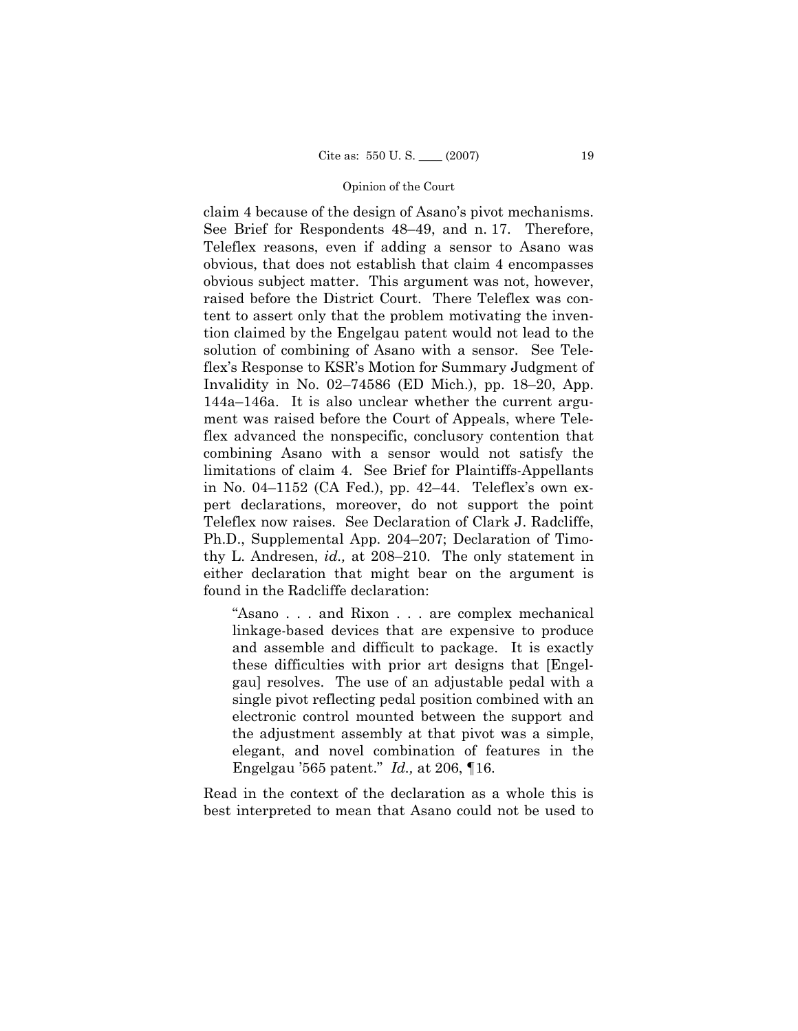claim 4 because of the design of Asano's pivot mechanisms. See Brief for Respondents  $48-49$ , and n. 17. Therefore, Teleflex reasons, even if adding a sensor to Asano was obvious, that does not establish that claim 4 encompasses obvious subject matter. This argument was not, however, raised before the District Court. There Teleflex was content to assert only that the problem motivating the invention claimed by the Engelgau patent would not lead to the solution of combining of Asano with a sensor. See Teleflexís Response to KSRís Motion for Summary Judgment of Invalidity in No.  $02-74586$  (ED Mich.), pp. 18–20, App.  $144a-146a$ . It is also unclear whether the current argument was raised before the Court of Appeals, where Teleflex advanced the nonspecific, conclusory contention that combining Asano with a sensor would not satisfy the limitations of claim 4. See Brief for Plaintiffs-Appellants in No. 04–1152 (CA Fed.), pp. 42–44. Teleflex's own expert declarations, moreover, do not support the point Teleflex now raises. See Declaration of Clark J. Radcliffe, Ph.D., Supplemental App. 204–207; Declaration of Timothy L. Andresen, *id.*, at 208–210. The only statement in either declaration that might bear on the argument is found in the Radcliffe declaration:

ìAsano . . . and Rixon . . . are complex mechanical linkage-based devices that are expensive to produce and assemble and difficult to package. It is exactly these difficulties with prior art designs that [Engelgau] resolves. The use of an adjustable pedal with a single pivot reflecting pedal position combined with an electronic control mounted between the support and the adjustment assembly at that pivot was a simple, elegant, and novel combination of features in the Engelgau í565 patent.î *Id.,* at 206, ¶16.

Read in the context of the declaration as a whole this is best interpreted to mean that Asano could not be used to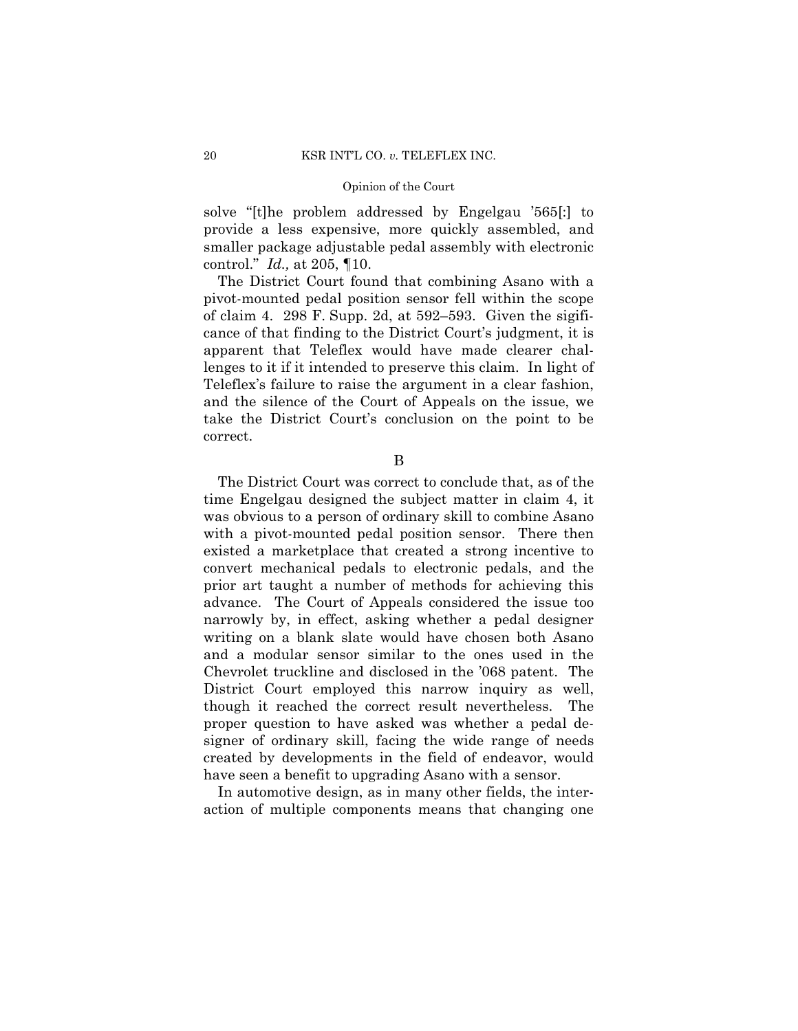solve "[t]he problem addressed by Engelgau '565[:] to provide a less expensive, more quickly assembled, and smaller package adjustable pedal assembly with electronic control.î *Id.,* at 205, ¶10.

 The District Court found that combining Asano with a pivot-mounted pedal position sensor fell within the scope of claim 4. 298 F. Supp. 2d, at  $592-593$ . Given the sigificance of that finding to the District Court's judgment, it is apparent that Teleflex would have made clearer challenges to it if it intended to preserve this claim. In light of Teleflex's failure to raise the argument in a clear fashion, and the silence of the Court of Appeals on the issue, we take the District Courtís conclusion on the point to be correct.

B

 The District Court was correct to conclude that, as of the time Engelgau designed the subject matter in claim 4, it was obvious to a person of ordinary skill to combine Asano with a pivot-mounted pedal position sensor. There then existed a marketplace that created a strong incentive to convert mechanical pedals to electronic pedals, and the prior art taught a number of methods for achieving this advance. The Court of Appeals considered the issue too narrowly by, in effect, asking whether a pedal designer writing on a blank slate would have chosen both Asano and a modular sensor similar to the ones used in the Chevrolet truckline and disclosed in the í068 patent. The District Court employed this narrow inquiry as well, though it reached the correct result nevertheless. The proper question to have asked was whether a pedal designer of ordinary skill, facing the wide range of needs created by developments in the field of endeavor, would have seen a benefit to upgrading Asano with a sensor.

 In automotive design, as in many other fields, the interaction of multiple components means that changing one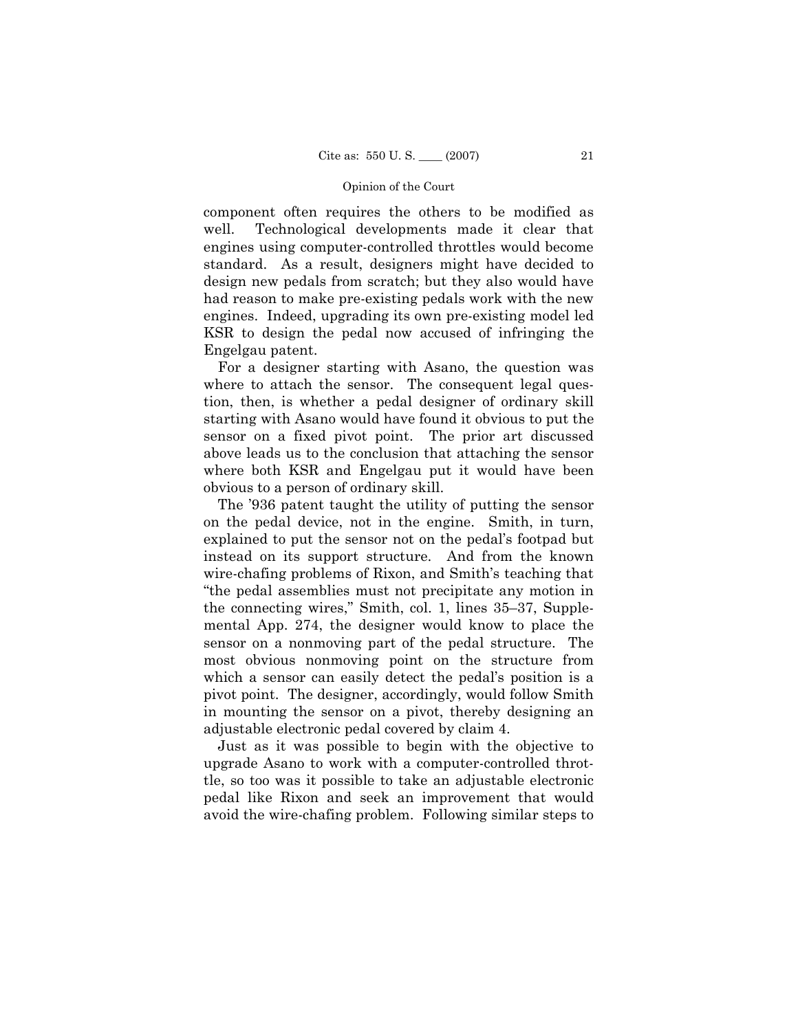component often requires the others to be modified as well. Technological developments made it clear that engines using computer-controlled throttles would become standard. As a result, designers might have decided to design new pedals from scratch; but they also would have had reason to make pre-existing pedals work with the new engines. Indeed, upgrading its own pre-existing model led KSR to design the pedal now accused of infringing the Engelgau patent.

 For a designer starting with Asano, the question was where to attach the sensor. The consequent legal question, then, is whether a pedal designer of ordinary skill starting with Asano would have found it obvious to put the sensor on a fixed pivot point. The prior art discussed above leads us to the conclusion that attaching the sensor where both KSR and Engelgau put it would have been obvious to a person of ordinary skill.

The '936 patent taught the utility of putting the sensor on the pedal device, not in the engine. Smith, in turn, explained to put the sensor not on the pedal's footpad but instead on its support structure. And from the known wire-chafing problems of Rixon, and Smith's teaching that ìthe pedal assemblies must not precipitate any motion in the connecting wires," Smith, col. 1, lines  $35-37$ , Supplemental App. 274, the designer would know to place the sensor on a nonmoving part of the pedal structure. The most obvious nonmoving point on the structure from which a sensor can easily detect the pedal's position is a pivot point. The designer, accordingly, would follow Smith in mounting the sensor on a pivot, thereby designing an adjustable electronic pedal covered by claim 4.

 Just as it was possible to begin with the objective to upgrade Asano to work with a computer-controlled throttle, so too was it possible to take an adjustable electronic pedal like Rixon and seek an improvement that would avoid the wire-chafing problem. Following similar steps to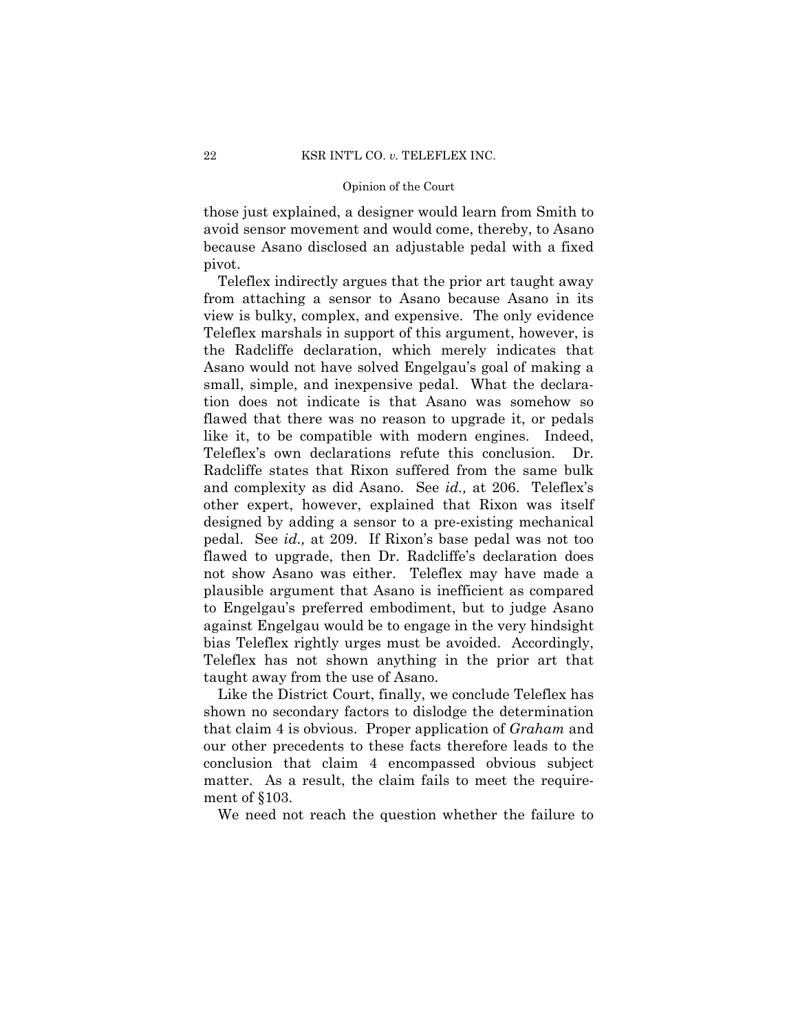those just explained, a designer would learn from Smith to avoid sensor movement and would come, thereby, to Asano because Asano disclosed an adjustable pedal with a fixed pivot.

 Teleflex indirectly argues that the prior art taught away from attaching a sensor to Asano because Asano in its view is bulky, complex, and expensive. The only evidence Teleflex marshals in support of this argument, however, is the Radcliffe declaration, which merely indicates that Asano would not have solved Engelgauís goal of making a small, simple, and inexpensive pedal. What the declaration does not indicate is that Asano was somehow so flawed that there was no reason to upgrade it, or pedals like it, to be compatible with modern engines. Indeed, Teleflex's own declarations refute this conclusion. Dr. Radcliffe states that Rixon suffered from the same bulk and complexity as did Asano. See *id.*, at 206. Teleflex's other expert, however, explained that Rixon was itself designed by adding a sensor to a pre-existing mechanical pedal. See *id.,* at 209. If Rixonís base pedal was not too flawed to upgrade, then Dr. Radcliffe's declaration does not show Asano was either. Teleflex may have made a plausible argument that Asano is inefficient as compared to Engelgauís preferred embodiment, but to judge Asano against Engelgau would be to engage in the very hindsight bias Teleflex rightly urges must be avoided. Accordingly, Teleflex has not shown anything in the prior art that taught away from the use of Asano.

 Like the District Court, finally, we conclude Teleflex has shown no secondary factors to dislodge the determination that claim 4 is obvious. Proper application of *Graham* and our other precedents to these facts therefore leads to the conclusion that claim 4 encompassed obvious subject matter. As a result, the claim fails to meet the requirement of  $§103$ .

We need not reach the question whether the failure to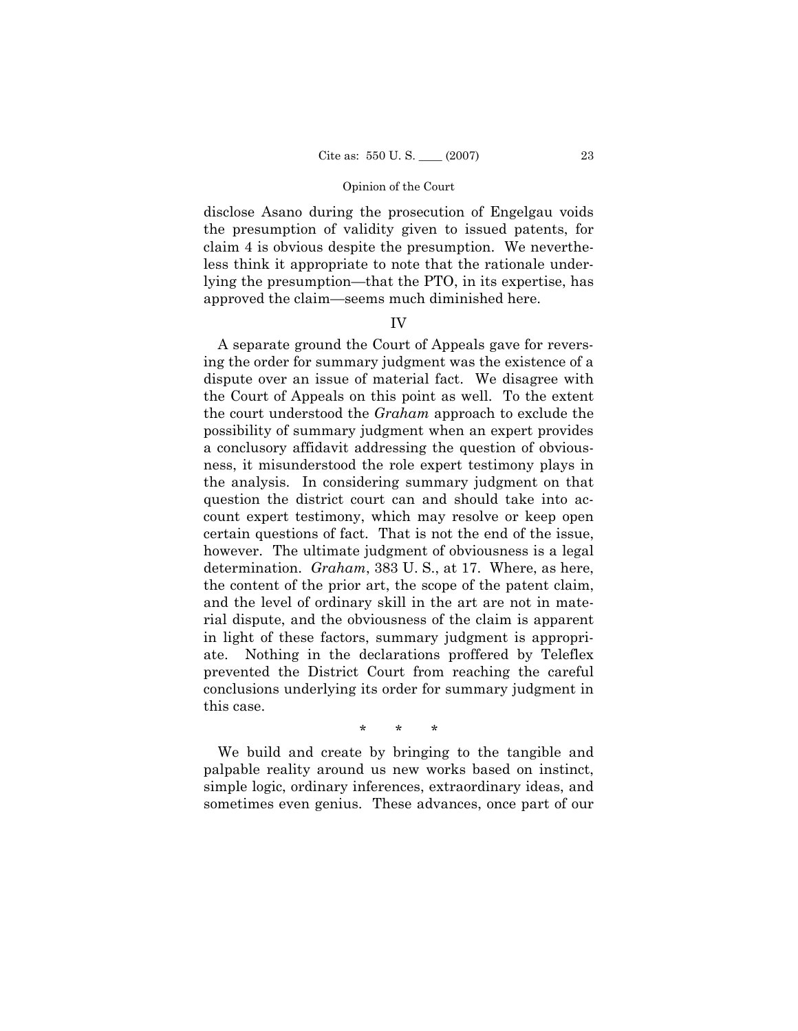disclose Asano during the prosecution of Engelgau voids the presumption of validity given to issued patents, for claim 4 is obvious despite the presumption. We nevertheless think it appropriate to note that the rationale underlying the presumption—that the PTO, in its expertise, has approved the claim—seems much diminished here.

#### IV

 A separate ground the Court of Appeals gave for reversing the order for summary judgment was the existence of a dispute over an issue of material fact. We disagree with the Court of Appeals on this point as well. To the extent the court understood the *Graham* approach to exclude the possibility of summary judgment when an expert provides a conclusory affidavit addressing the question of obviousness, it misunderstood the role expert testimony plays in the analysis. In considering summary judgment on that question the district court can and should take into account expert testimony, which may resolve or keep open certain questions of fact. That is not the end of the issue, however. The ultimate judgment of obviousness is a legal determination. *Graham*, 383 U. S., at 17. Where, as here, the content of the prior art, the scope of the patent claim, and the level of ordinary skill in the art are not in material dispute, and the obviousness of the claim is apparent in light of these factors, summary judgment is appropriate. Nothing in the declarations proffered by Teleflex prevented the District Court from reaching the careful conclusions underlying its order for summary judgment in this case.

# \* \* \*

 We build and create by bringing to the tangible and palpable reality around us new works based on instinct, simple logic, ordinary inferences, extraordinary ideas, and sometimes even genius. These advances, once part of our